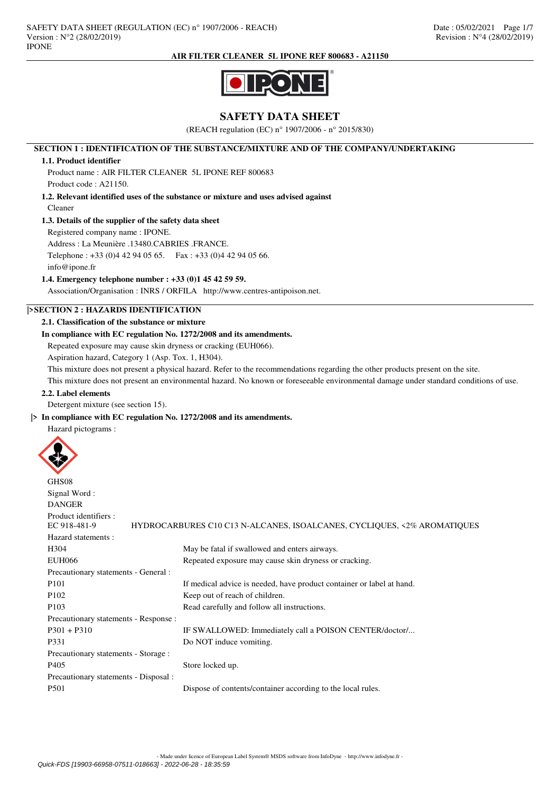

# **SAFETY DATA SHEET**

(REACH regulation (EC) n° 1907/2006 - n° 2015/830)

### **SECTION 1 : IDENTIFICATION OF THE SUBSTANCE/MIXTURE AND OF THE COMPANY/UNDERTAKING**

### **1.1. Product identifier**

Product name : AIR FILTER CLEANER 5L IPONE REF 800683 Product code : A21150.

# **1.2. Relevant identified uses of the substance or mixture and uses advised against** Cleaner

# **1.3. Details of the supplier of the safety data sheet**

Registered company name : IPONE.

Address : La Meunière .13480.CABRIES .FRANCE.

Telephone : +33 (0)4 42 94 05 65. Fax : +33 (0)4 42 94 05 66.

info@ipone.fr

### **1.4. Emergency telephone number : +33 (0)1 45 42 59 59.**

Association/Organisation : INRS / ORFILA http://www.centres-antipoison.net.

# **|>SECTION 2 : HAZARDS IDENTIFICATION**

### **2.1. Classification of the substance or mixture**

# **In compliance with EC regulation No. 1272/2008 and its amendments.**

Repeated exposure may cause skin dryness or cracking (EUH066).

Aspiration hazard, Category 1 (Asp. Tox. 1, H304).

This mixture does not present a physical hazard. Refer to the recommendations regarding the other products present on the site.

This mixture does not present an environmental hazard. No known or foreseeable environmental damage under standard conditions of use.

### **2.2. Label elements**

Detergent mixture (see section 15).

### **|> In compliance with EC regulation No. 1272/2008 and its amendments.**

Hazard pictograms :



| GHS08                                 |                                                                         |
|---------------------------------------|-------------------------------------------------------------------------|
| Signal Word:                          |                                                                         |
| <b>DANGER</b>                         |                                                                         |
| Product identifiers :<br>EC 918-481-9 | HYDROCARBURES C10 C13 N-ALCANES, ISOALCANES, CYCLIQUES, <2% AROMATIQUES |
| Hazard statements:                    |                                                                         |
| H <sub>304</sub>                      | May be fatal if swallowed and enters airways.                           |
| <b>EUH066</b>                         | Repeated exposure may cause skin dryness or cracking.                   |
| Precautionary statements - General :  |                                                                         |
| P <sub>101</sub>                      | If medical advice is needed, have product container or label at hand.   |
| P <sub>102</sub>                      | Keep out of reach of children.                                          |
| P <sub>103</sub>                      | Read carefully and follow all instructions.                             |
| Precautionary statements - Response : |                                                                         |
| $P301 + P310$                         | IF SWALLOWED: Immediately call a POISON CENTER/doctor/                  |
| P331                                  | Do NOT induce vomiting.                                                 |
| Precautionary statements - Storage :  |                                                                         |
| P <sub>405</sub>                      | Store locked up.                                                        |
| Precautionary statements - Disposal : |                                                                         |
| P <sub>501</sub>                      | Dispose of contents/container according to the local rules.             |
|                                       |                                                                         |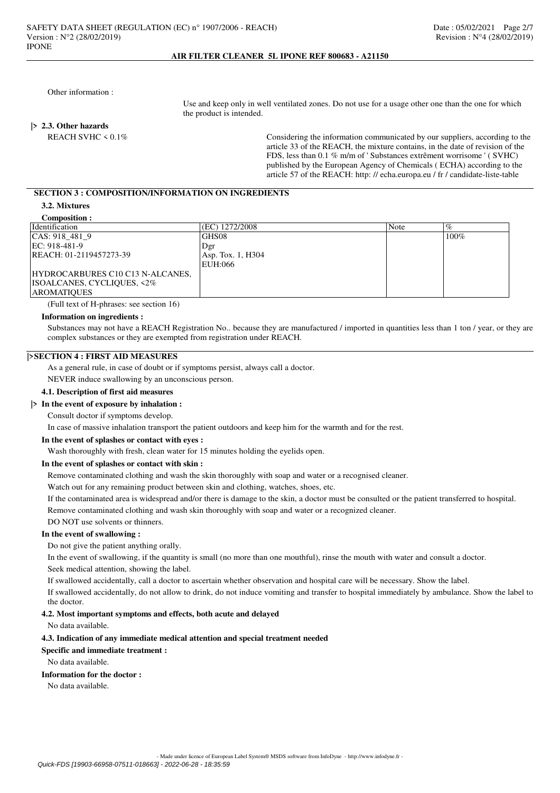Other information :

 Use and keep only in well ventilated zones. Do not use for a usage other one than the one for which the product is intended.

#### **|> 2.3. Other hazards**

REACH SVHC < 0.1% article 33 of the REACH, the mixture contains, in the date of revision of the FDS, less than 0.1 % m/m of ' Substances extrêment worrisome ' ( SVHC) published by the European Agency of Chemicals ( ECHA) according to the article 57 of the REACH: http: // echa.europa.eu / fr / candidate-liste-table

# **SECTION 3 : COMPOSITION/INFORMATION ON INGREDIENTS**

## **3.2. Mixtures**

**AROMATIQUE** 

| Composition :           |                   |      |      |
|-------------------------|-------------------|------|------|
| <b>Identification</b>   | I(EC) 1272/2008   | Note | $\%$ |
| CAS: 918 481 9          | IGHS08            |      |      |
| EC: $918-481-9$         | Dgr               |      |      |
| REACH: 01-2119457273-39 | Asp. Tox. 1, H304 |      |      |
|                         | ETTI.             |      |      |

| CAS: 918 481 9                   | <b>GHS08</b>      | 100% |
|----------------------------------|-------------------|------|
| $EC: 918-481-9$                  | Dgr               |      |
| REACH: 01-2119457273-39          | Asp. Tox. 1, H304 |      |
|                                  | EUH:066           |      |
| HYDROCARBURES C10 C13 N-ALCANES, |                   |      |
| ISOALCANES, CYCLIQUES, <2%       |                   |      |
| <b>AROMATIOUES</b>               |                   |      |

(Full text of H-phrases: see section 16)

#### **Information on ingredients :**

Substances may not have a REACH Registration No.. because they are manufactured / imported in quantities less than 1 ton / year, or they are complex substances or they are exempted from registration under REACH.

### **|>SECTION 4 : FIRST AID MEASURES**

As a general rule, in case of doubt or if symptoms persist, always call a doctor.

NEVER induce swallowing by an unconscious person.

### **4.1. Description of first aid measures**

### **|> In the event of exposure by inhalation :**

Consult doctor if symptoms develop.

In case of massive inhalation transport the patient outdoors and keep him for the warmth and for the rest.

### **In the event of splashes or contact with eyes :**

Wash thoroughly with fresh, clean water for 15 minutes holding the eyelids open.

### **In the event of splashes or contact with skin :**

Remove contaminated clothing and wash the skin thoroughly with soap and water or a recognised cleaner.

Watch out for any remaining product between skin and clothing, watches, shoes, etc.

If the contaminated area is widespread and/or there is damage to the skin, a doctor must be consulted or the patient transferred to hospital. Remove contaminated clothing and wash skin thoroughly with soap and water or a recognized cleaner.

DO NOT use solvents or thinners.

# **In the event of swallowing :**

Do not give the patient anything orally.

In the event of swallowing, if the quantity is small (no more than one mouthful), rinse the mouth with water and consult a doctor.

Seek medical attention, showing the label.

If swallowed accidentally, call a doctor to ascertain whether observation and hospital care will be necessary. Show the label.

If swallowed accidentally, do not allow to drink, do not induce vomiting and transfer to hospital immediately by ambulance. Show the label to the doctor.

### **4.2. Most important symptoms and effects, both acute and delayed**

No data available.

### **4.3. Indication of any immediate medical attention and special treatment needed**

## **Specific and immediate treatment :**

No data available.

### **Information for the doctor :**

No data available.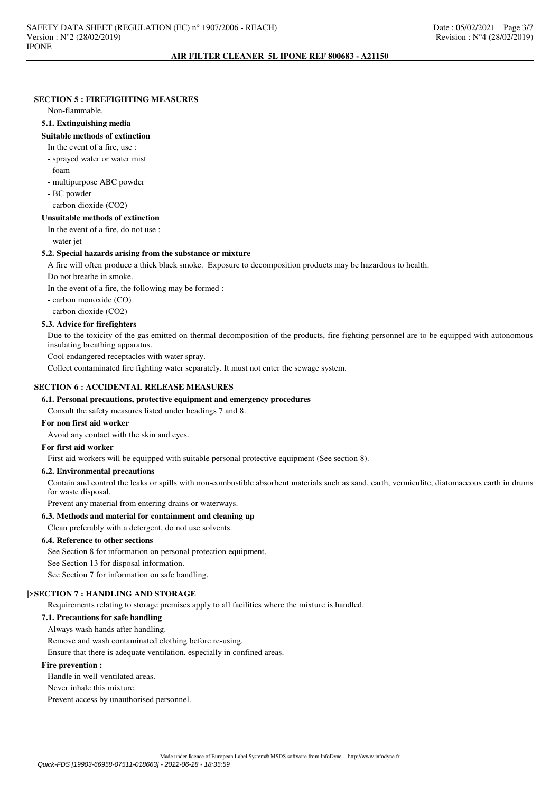# **SECTION 5 : FIREFIGHTING MEASURES**

### Non-flammable.

#### **5.1. Extinguishing media**

### **Suitable methods of extinction**

In the event of a fire, use :

- sprayed water or water mist

- foam

- multipurpose ABC powder

- BC powder

- carbon dioxide (CO2)

## **Unsuitable methods of extinction**

In the event of a fire, do not use :

- water jet

# **5.2. Special hazards arising from the substance or mixture**

A fire will often produce a thick black smoke. Exposure to decomposition products may be hazardous to health.

Do not breathe in smoke.

In the event of a fire, the following may be formed :

- carbon monoxide (CO)

- carbon dioxide (CO2)

### **5.3. Advice for firefighters**

Due to the toxicity of the gas emitted on thermal decomposition of the products, fire-fighting personnel are to be equipped with autonomous insulating breathing apparatus.

Cool endangered receptacles with water spray.

Collect contaminated fire fighting water separately. It must not enter the sewage system.

# **SECTION 6 : ACCIDENTAL RELEASE MEASURES**

## **6.1. Personal precautions, protective equipment and emergency procedures**

Consult the safety measures listed under headings 7 and 8.

### **For non first aid worker**

Avoid any contact with the skin and eyes.

# **For first aid worker**

First aid workers will be equipped with suitable personal protective equipment (See section 8).

### **6.2. Environmental precautions**

Contain and control the leaks or spills with non-combustible absorbent materials such as sand, earth, vermiculite, diatomaceous earth in drums for waste disposal.

Prevent any material from entering drains or waterways.

### **6.3. Methods and material for containment and cleaning up**

Clean preferably with a detergent, do not use solvents.

# **6.4. Reference to other sections**

See Section 8 for information on personal protection equipment.

See Section 13 for disposal information.

See Section 7 for information on safe handling.

### **|>SECTION 7 : HANDLING AND STORAGE**

Requirements relating to storage premises apply to all facilities where the mixture is handled.

### **7.1. Precautions for safe handling**

Always wash hands after handling.

Remove and wash contaminated clothing before re-using.

Ensure that there is adequate ventilation, especially in confined areas.

### **Fire prevention :**

Handle in well-ventilated areas.

Never inhale this mixture.

Prevent access by unauthorised personnel.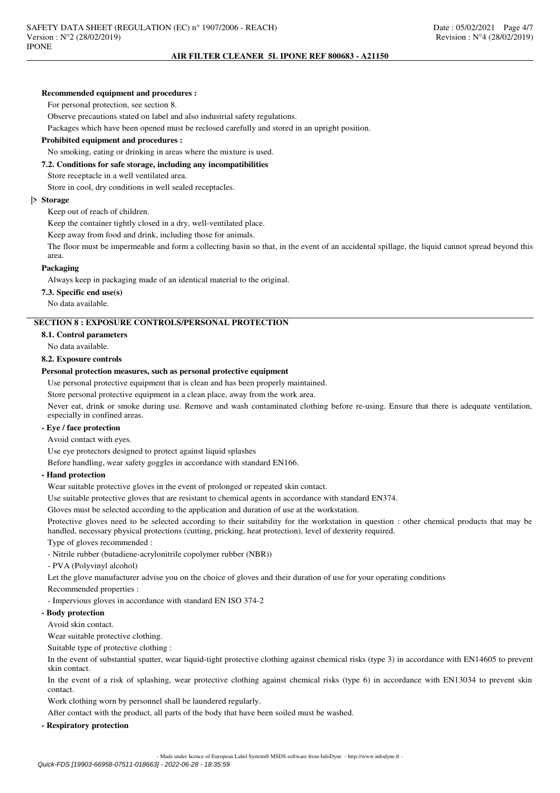#### **Recommended equipment and procedures :**

For personal protection, see section 8.

Observe precautions stated on label and also industrial safety regulations.

Packages which have been opened must be reclosed carefully and stored in an upright position.

## **Prohibited equipment and procedures :**

No smoking, eating or drinking in areas where the mixture is used.

# **7.2. Conditions for safe storage, including any incompatibilities**

Store receptacle in a well ventilated area.

Store in cool, dry conditions in well sealed receptacles.

#### **|> Storage**

Keep out of reach of children.

Keep the container tightly closed in a dry, well-ventilated place.

Keep away from food and drink, including those for animals.

The floor must be impermeable and form a collecting basin so that, in the event of an accidental spillage, the liquid cannot spread beyond this area.

#### **Packaging**

Always keep in packaging made of an identical material to the original.

**7.3. Specific end use(s)**

No data available.

### **SECTION 8 : EXPOSURE CONTROLS/PERSONAL PROTECTION**

### **8.1. Control parameters**

No data available.

# **8.2. Exposure controls**

#### **Personal protection measures, such as personal protective equipment**

Use personal protective equipment that is clean and has been properly maintained.

Store personal protective equipment in a clean place, away from the work area.

Never eat, drink or smoke during use. Remove and wash contaminated clothing before re-using. Ensure that there is adequate ventilation, especially in confined areas.

# **- Eye / face protection**

Avoid contact with eyes.

Use eye protectors designed to protect against liquid splashes

Before handling, wear safety goggles in accordance with standard EN166.

#### **- Hand protection**

Wear suitable protective gloves in the event of prolonged or repeated skin contact.

Use suitable protective gloves that are resistant to chemical agents in accordance with standard EN374.

Gloves must be selected according to the application and duration of use at the workstation.

Protective gloves need to be selected according to their suitability for the workstation in question : other chemical products that may be handled, necessary physical protections (cutting, pricking, heat protection), level of dexterity required.

Type of gloves recommended :

- Nitrile rubber (butadiene-acrylonitrile copolymer rubber (NBR))

- PVA (Polyvinyl alcohol)

Let the glove manufacturer advise you on the choice of gloves and their duration of use for your operating conditions

Recommended properties :

- Impervious gloves in accordance with standard EN ISO 374-2

## **- Body protection**

Avoid skin contact.

Wear suitable protective clothing.

Suitable type of protective clothing :

In the event of substantial spatter, wear liquid-tight protective clothing against chemical risks (type 3) in accordance with EN14605 to prevent skin contact.

In the event of a risk of splashing, wear protective clothing against chemical risks (type 6) in accordance with EN13034 to prevent skin contact.

Work clothing worn by personnel shall be laundered regularly.

After contact with the product, all parts of the body that have been soiled must be washed.

**- Respiratory protection**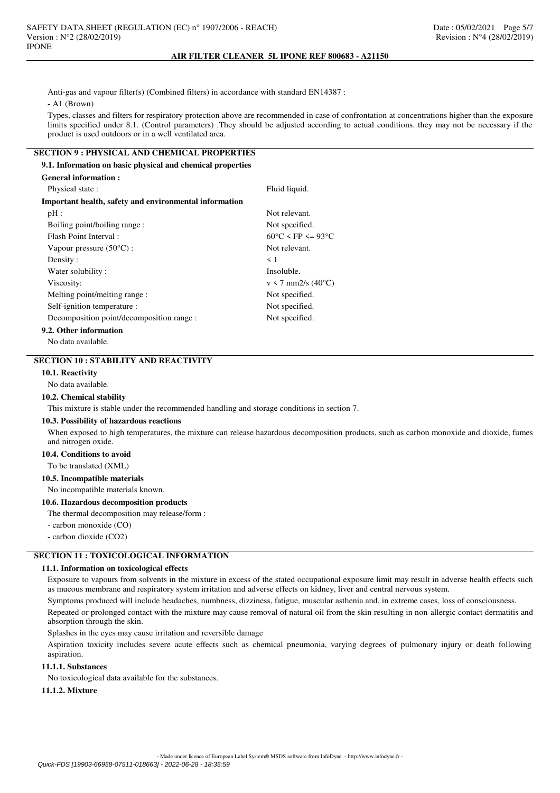Anti-gas and vapour filter(s) (Combined filters) in accordance with standard EN14387 :

- A1 (Brown)

**General information :**

Types, classes and filters for respiratory protection above are recommended in case of confrontation at concentrations higher than the exposure limits specified under 8.1. (Control parameters) .They should be adjusted according to actual conditions. they may not be necessary if the product is used outdoors or in a well ventilated area.

# **SECTION 9 : PHYSICAL AND CHEMICAL PROPERTIES**

**9.1. Information on basic physical and chemical properties**

| стенеган ппогипацоп :                                  |                                        |
|--------------------------------------------------------|----------------------------------------|
| Physical state :                                       | Fluid liquid.                          |
| Important health, safety and environmental information |                                        |
| pH:                                                    | Not relevant.                          |
| Boiling point/boiling range:                           | Not specified.                         |
| Flash Point Interval:                                  | $60^{\circ}$ C < FP <= 93 $^{\circ}$ C |
| Vapour pressure $(50^{\circ}C)$ :                      | Not relevant.                          |
| Density:                                               | $\leq 1$                               |
| Water solubility:                                      | Insoluble.                             |
| Viscosity:                                             | $v < 7$ mm2/s (40 $^{\circ}$ C)        |
| Melting point/melting range:                           | Not specified.                         |
| Self-ignition temperature :                            | Not specified.                         |
| Decomposition point/decomposition range :              | Not specified.                         |
| 9.2. Other information                                 |                                        |

No data available.

# **SECTION 10 : STABILITY AND REACTIVITY**

### **10.1. Reactivity**

No data available.

### **10.2. Chemical stability**

This mixture is stable under the recommended handling and storage conditions in section 7.

#### **10.3. Possibility of hazardous reactions**

When exposed to high temperatures, the mixture can release hazardous decomposition products, such as carbon monoxide and dioxide, fumes and nitrogen oxide.

#### **10.4. Conditions to avoid**

To be translated (XML)

### **10.5. Incompatible materials**

No incompatible materials known.

### **10.6. Hazardous decomposition products**

The thermal decomposition may release/form :

- carbon monoxide (CO)

- carbon dioxide (CO2)

# **SECTION 11 : TOXICOLOGICAL INFORMATION**

#### **11.1. Information on toxicological effects**

Exposure to vapours from solvents in the mixture in excess of the stated occupational exposure limit may result in adverse health effects such as mucous membrane and respiratory system irritation and adverse effects on kidney, liver and central nervous system.

Symptoms produced will include headaches, numbness, dizziness, fatigue, muscular asthenia and, in extreme cases, loss of consciousness.

Repeated or prolonged contact with the mixture may cause removal of natural oil from the skin resulting in non-allergic contact dermatitis and absorption through the skin.

Splashes in the eyes may cause irritation and reversible damage

Aspiration toxicity includes severe acute effects such as chemical pneumonia, varying degrees of pulmonary injury or death following aspiration.

# **11.1.1. Substances**

No toxicological data available for the substances.

# **11.1.2. Mixture**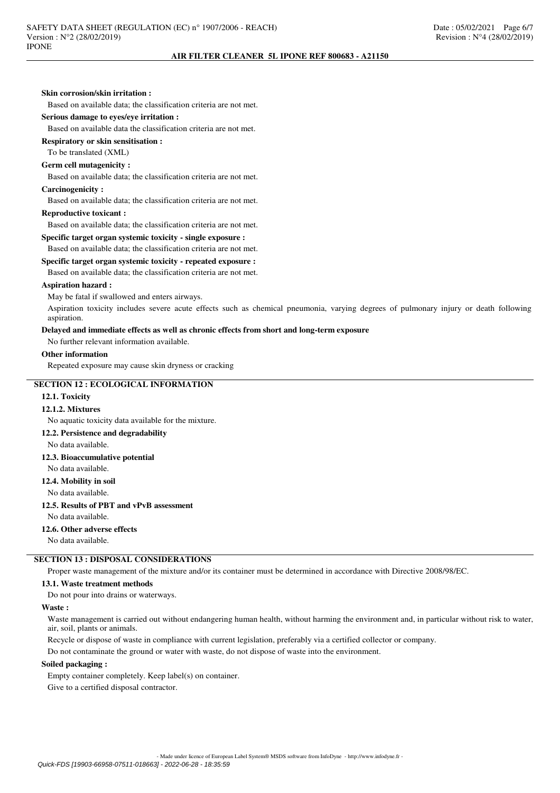| Skin corrosion/skin irritation:                                                                                                                     |  |
|-----------------------------------------------------------------------------------------------------------------------------------------------------|--|
| Based on available data; the classification criteria are not met.                                                                                   |  |
| Serious damage to eyes/eye irritation :                                                                                                             |  |
| Based on available data the classification criteria are not met.                                                                                    |  |
| <b>Respiratory or skin sensitisation:</b>                                                                                                           |  |
| To be translated (XML)                                                                                                                              |  |
| <b>Germ cell mutagenicity:</b>                                                                                                                      |  |
| Based on available data; the classification criteria are not met.                                                                                   |  |
| <b>Carcinogenicity:</b>                                                                                                                             |  |
| Based on available data; the classification criteria are not met.                                                                                   |  |
| <b>Reproductive toxicant:</b>                                                                                                                       |  |
| Based on available data; the classification criteria are not met.                                                                                   |  |
| Specific target organ systemic toxicity - single exposure :                                                                                         |  |
| Based on available data; the classification criteria are not met.                                                                                   |  |
| Specific target organ systemic toxicity - repeated exposure :                                                                                       |  |
| Based on available data; the classification criteria are not met.                                                                                   |  |
| <b>Aspiration hazard:</b>                                                                                                                           |  |
| May be fatal if swallowed and enters airways.                                                                                                       |  |
| Aspiration toxicity includes severe acute effects such as chemical pneumonia, varying degrees of pulmonary injury or death following<br>aspiration. |  |
| Delayed and immediate effects as well as chronic effects from short and long-term exposure                                                          |  |
| No further relevant information available.                                                                                                          |  |
| <b>Other information</b>                                                                                                                            |  |
| Repeated exposure may cause skin dryness or cracking                                                                                                |  |
| <b>SECTION 12 : ECOLOGICAL INFORMATION</b>                                                                                                          |  |
| 12.1. Toxicity                                                                                                                                      |  |
| 12.1.2. Mixtures                                                                                                                                    |  |
| No aquatic toxicity data available for the mixture.                                                                                                 |  |
| 12.2. Persistence and degradability                                                                                                                 |  |
| No data available.                                                                                                                                  |  |
| 12.3. Bioaccumulative potential                                                                                                                     |  |
| No data available.                                                                                                                                  |  |
| 12.4. Mobility in soil                                                                                                                              |  |
| No data available.                                                                                                                                  |  |
| 12.5. Results of PBT and vPvB assessment                                                                                                            |  |
| No data available.                                                                                                                                  |  |
| 12.6. Other adverse effects                                                                                                                         |  |
| No data available.                                                                                                                                  |  |
| <b>SECTION 13 : DISPOSAL CONSIDERATIONS</b>                                                                                                         |  |
| Proper waste management of the mixture and/or its container must be determined in accordance with Directive 2008/98/EC.                             |  |
| 13.1. Waste treatment methods                                                                                                                       |  |
| Do not pour into drains or waterways.                                                                                                               |  |

#### **Waste :**

Waste management is carried out without endangering human health, without harming the environment and, in particular without risk to water, air, soil, plants or animals.

Recycle or dispose of waste in compliance with current legislation, preferably via a certified collector or company.

Do not contaminate the ground or water with waste, do not dispose of waste into the environment.

# **Soiled packaging :**

Empty container completely. Keep label(s) on container. Give to a certified disposal contractor.